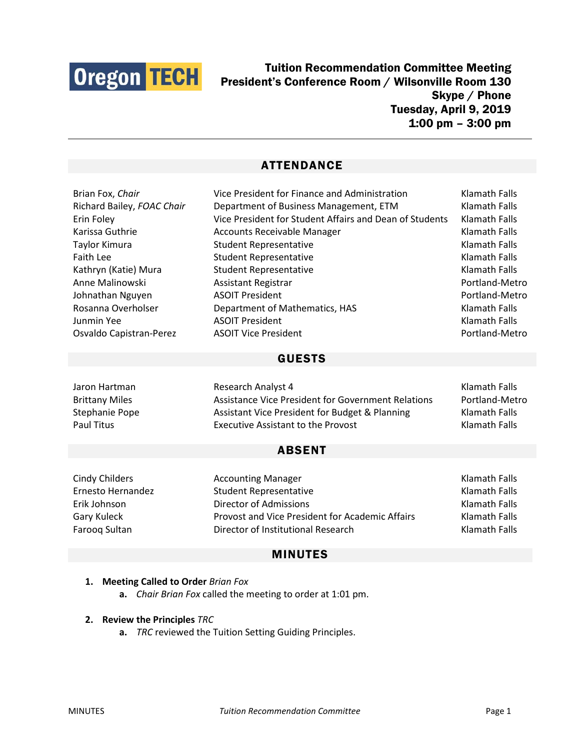

Tuition Recommendation Committee Meeting President's Conference Room / Wilsonville Room 130 Skype / Phone Tuesday, April 9, 2019 1:00 pm – 3:00 pm

# ATTENDANCE

| Brian Fox, Chair           | Vice President for Finance and Administration           | Klamath Falls  |
|----------------------------|---------------------------------------------------------|----------------|
| Richard Bailey, FOAC Chair | Department of Business Management, ETM                  | Klamath Falls  |
| Erin Foley                 | Vice President for Student Affairs and Dean of Students | Klamath Falls  |
| Karissa Guthrie            | <b>Accounts Receivable Manager</b>                      | Klamath Falls  |
| Taylor Kimura              | <b>Student Representative</b>                           | Klamath Falls  |
| Faith Lee                  | <b>Student Representative</b>                           | Klamath Falls  |
| Kathryn (Katie) Mura       | <b>Student Representative</b>                           | Klamath Falls  |
| Anne Malinowski            | Assistant Registrar                                     | Portland-Metro |
| Johnathan Nguyen           | <b>ASOIT President</b>                                  | Portland-Metro |
| Rosanna Overholser         | Department of Mathematics, HAS                          | Klamath Falls  |
| Junmin Yee                 | <b>ASOIT President</b>                                  | Klamath Falls  |
| Osvaldo Capistran-Perez    | <b>ASOIT Vice President</b>                             | Portland-Metro |
|                            |                                                         |                |
| <b>GUESTS</b>              |                                                         |                |
|                            |                                                         |                |

# Jaron Hartman Research Analyst 4 Klamath Falls Brittany Miles **Assistance Vice President for Government Relations** Portland-Metro Stephanie Pope **Assistant Vice President for Budget & Planning** Klamath Falls Paul Titus **Executive Assistant to the Provost Executive Assistant to the Provost Klamath Falls**

### ABSENT

Cindy Childers **Accounting Manager Accounting Manager** Klamath Falls Ernesto Hernandez Student Representative Klamath Falls Erik Johnson Director of Admissions Klamath Falls Gary Kuleck **Provost and Vice President for Academic Affairs** Klamath Falls Farooq Sultan **Director of Institutional Research** Klamath Falls

# MINUTES

### **1. Meeting Called to Order** *Brian Fox*

**a.** *Chair Brian Fox* called the meeting to order at 1:01 pm.

#### **2. Review the Principles** *TRC*

**a.** *TRC* reviewed the Tuition Setting Guiding Principles.